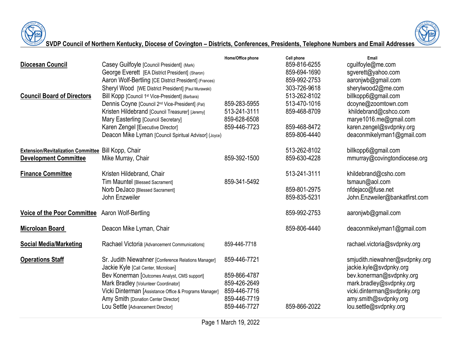



## **SVDP Council of Northern Kentucky, Diocese of Covington – Districts, Conferences, Presidents, Telephone Numbers and Email Addresses**

|                                                     |                                                                                             | Home/Office phone | Cell phone   | Email                                                     |
|-----------------------------------------------------|---------------------------------------------------------------------------------------------|-------------------|--------------|-----------------------------------------------------------|
| <b>Diocesan Council</b>                             | Casey Guilfoyle [Council President] (Mark)                                                  |                   | 859-816-6255 | cguilfoyle@me.com                                         |
|                                                     | George Everett [EA District President] (Sharon)                                             |                   | 859-694-1690 | sgverett@yahoo.com                                        |
|                                                     | Aaron Wolf-Bertling [CE District President] (Frances)                                       |                   | 859-992-2753 | aaronjwb@gmail.com                                        |
|                                                     | Sheryl Wood [WE District President] [Paul Murawski)                                         |                   | 303-726-9618 | sherylwood2@me.com                                        |
| <b>Council Board of Directors</b>                   | Bill Kopp [Council 1 <sup>st</sup> Vice-President] (Barbara)                                |                   | 513-262-8102 | billkopp6@gmail.com                                       |
|                                                     | Dennis Coyne [Council 2 <sup>nd</sup> Vice-President] (Pat)                                 | 859-283-5955      | 513-470-1016 | dcoyne@zoomtown.com                                       |
|                                                     | Kristen Hildebrand [Council Treasurer] [Jeremy]                                             | 513-241-3111      | 859-468-8709 | khildebrand@cshco.com                                     |
|                                                     | Mary Easterling [Council Secretary]                                                         | 859-628-6508      |              | marye1016.me@gmail.com                                    |
|                                                     | Karen Zengel [Executive Director]                                                           | 859-446-7723      | 859-468-8472 | karen.zengel@svdpnky.org                                  |
|                                                     | Deacon Mike Lyman [Council Spiritual Advisor] (Joyce)                                       |                   | 859-806-4440 | deaconmikelyman1@gmail.com                                |
| Extension/Revitalization Committee Bill Kopp, Chair |                                                                                             |                   | 513-262-8102 | billkopp6@gmail.com                                       |
| <b>Development Committee</b>                        | Mike Murray, Chair                                                                          | 859-392-1500      | 859-630-4228 | mmurray@covingtondiocese.org                              |
| <b>Finance Committee</b>                            | Kristen Hildebrand, Chair                                                                   |                   | 513-241-3111 | khildebrand@csho.com                                      |
|                                                     | Tim Mauntel [Blessed Sacrament]                                                             | 859-341-5492      |              | $t$ smaun@aol.com                                         |
|                                                     | Norb DeJaco [Blessed Sacrament]                                                             |                   | 859-801-2975 | nfdejaco@fuse.net                                         |
|                                                     | John Enzweiler                                                                              |                   | 859-835-5231 | John.Enzweiler@bankatfirst.com                            |
| <b>Voice of the Poor Committee</b>                  | Aaron Wolf-Bertling                                                                         |                   | 859-992-2753 | aaronjwb@gmail.com                                        |
| <b>Microloan Board</b>                              | Deacon Mike Lyman, Chair                                                                    |                   | 859-806-4440 | deaconmikelyman1@gmail.com                                |
| <b>Social Media/Marketing</b>                       | Rachael Victoria [Advancement Communications]                                               | 859-446-7718      |              | rachael.victoria@svdpnky.org                              |
| <b>Operations Staff</b>                             | Sr. Judith Niewahner [Conference Relations Manager]<br>Jackie Kyle [Call Center, Microloan] | 859-446-7721      |              | smjudith.niewahner@svdpnky.org<br>jackie.kyle@svdpnky.org |
|                                                     | Bev Konerman [Outcomes Analyst, CMS support]                                                | 859-866-4787      |              | bev.konerman@svdpnky.org                                  |
|                                                     | Mark Bradley [Volunteer Coordinator]                                                        | 859-426-2649      |              | mark.bradley@svdpnky.org                                  |
|                                                     | Vicki Dinterman [Assistance Office & Programs Manager]                                      | 859-446-7716      |              | vicki.dinterman@svdpnky.org                               |
|                                                     | Amy Smith [Donation Center Director]                                                        | 859-446-7719      |              | amy.smith@svdpnky.org                                     |
|                                                     | Lou Settle [Advancement Director]                                                           | 859-446-7727      | 859-866-2022 | lou.settle@svdpnky.org                                    |
|                                                     |                                                                                             |                   |              |                                                           |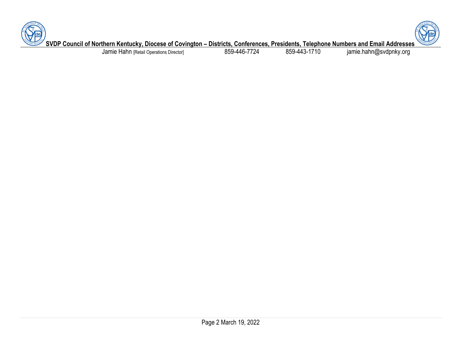



**SVDP Council of Northern Kentucky, Diocese of Covington – Districts, Conferences, Presidents, Telephone Numbers and Email Addresses**

Jamie Hahn [Retail Operations Director] 859-446-7724 859-443-1710 jamie.hahn@svdpnky.org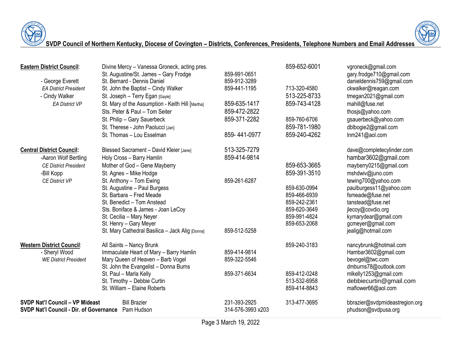